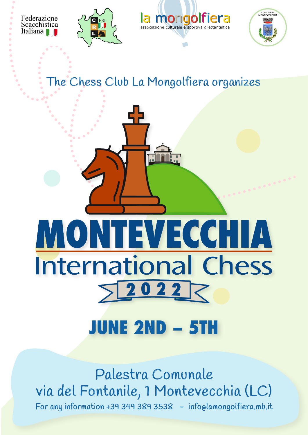Federazione Scacchistica Italiana







The Chess Club La Mongolfiera organizes

## MONTEVECCHIA **International Chess** 20227

## **JUNE 2ND – 51**

Palestra Comunale via del Fontanile, 1 Montevecchia (LC) For any information +39 349 389 3538 - info@lamongolfiera.mb.it